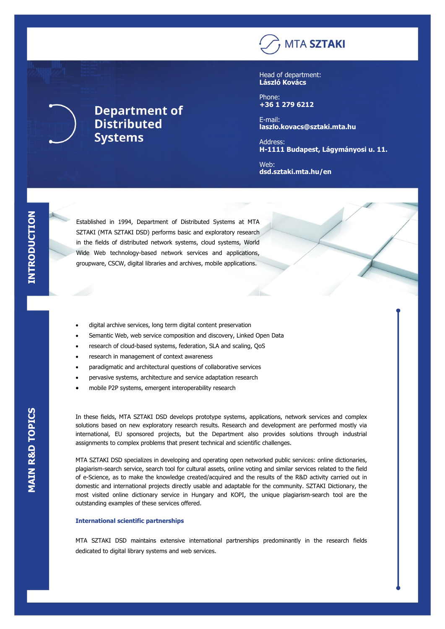## **MTA SZTAKI**

Head of department: **László Kovács**

Phone: **+36 1 279 6212**

E-mail: **laszlo.kovacs@sztaki.mta.hu**

Address: **H-1111 Budapest, Lágymányosi u. 11.** 

Web: **dsd.sztaki.mta.hu/en**

Established in 1994, Department of Distributed Systems at MTA SZTAKI (MTA SZTAKI DSD) performs basic and exploratory research in the fields of distributed network systems, cloud systems, World Wide Web technology-based network services and applications, groupware, CSCW, digital libraries and archives, mobile applications.

- digital archive services, long term digital content preservation
- Semantic Web, web service composition and discovery, Linked Open Data
- research of cloud-based systems, federation, SLA and scaling, QoS
- research in management of context awareness

**Department of** 

**Distributed** 

**Systems** 

- paradigmatic and architectural questions of collaborative services
- pervasive systems, architecture and service adaptation research
- mobile P2P systems, emergent interoperability research

In these fields, MTA SZTAKI DSD develops prototype systems, applications, network services and complex solutions based on new exploratory research results. Research and development are performed mostly via international, EU sponsored projects, but the Department also provides solutions through industrial assignments to complex problems that present technical and scientific challenges.

MTA SZTAKI DSD specializes in developing and operating open networked public services: online dictionaries, plagiarism-search service, search tool for cultural assets, online voting and similar services related to the field of e-Science, as to make the knowledge created/acquired and the results of the R&D activity carried out in domestic and international projects directly usable and adaptable for the community. SZTAKI Dictionary, the most visited online dictionary service in Hungary and KOPI, the unique plagiarism-search tool are the outstanding examples of these services offered.

## **International scientific partnerships**

MTA SZTAKI DSD maintains extensive international partnerships predominantly in the research fields dedicated to digital library systems and web services.

L